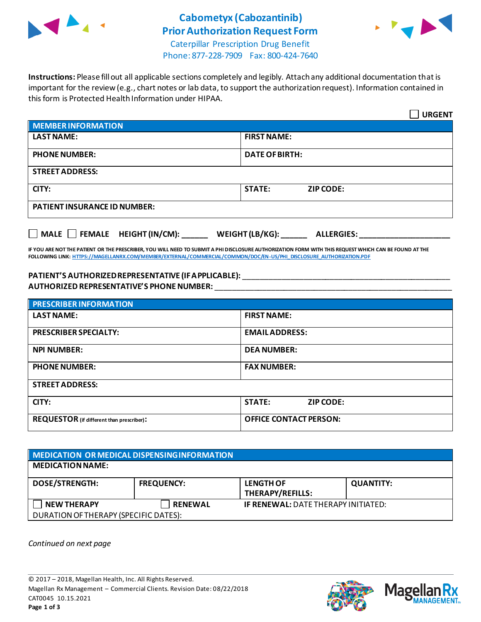

## **Cabometyx (Cabozantinib) Prior Authorization Request Form**



Caterpillar Prescription Drug Benefit Phone: 877-228-7909 Fax: 800-424-7640

**Instructions:** Please fill out all applicable sections completely and legibly. Attach any additional documentation that is important for the review (e.g., chart notes or lab data, to support the authorization request). Information contained in this form is Protected Health Information under HIPAA.

|                                                                                   | <b>URGENT</b>                     |  |  |  |
|-----------------------------------------------------------------------------------|-----------------------------------|--|--|--|
| <b>MEMBER INFORMATION</b>                                                         |                                   |  |  |  |
| <b>LAST NAME:</b>                                                                 | <b>FIRST NAME:</b>                |  |  |  |
| <b>PHONE NUMBER:</b>                                                              | <b>DATE OF BIRTH:</b>             |  |  |  |
| <b>STREET ADDRESS:</b>                                                            |                                   |  |  |  |
| CITY:                                                                             | <b>STATE:</b><br><b>ZIP CODE:</b> |  |  |  |
| <b>PATIENT INSURANCE ID NUMBER:</b>                                               |                                   |  |  |  |
| $\Box$ MALE $\Box$ FEMALE HEIGHT (IN/CM):<br>WEIGHT (LB/KG):<br><b>ALLERGIES:</b> |                                   |  |  |  |

**IF YOU ARE NOT THE PATIENT OR THE PRESCRIBER, YOU WILL NEED TO SUBMIT A PHI DISCLOSURE AUTHORIZATION FORM WITH THIS REQUEST WHICH CAN BE FOUND AT THE FOLLOWING LINK[: HTTPS://MAGELLANRX.COM/MEMBER/EXTERNAL/COMMERCIAL/COMMON/DOC/EN-US/PHI\\_DISCLOSURE\\_AUTHORIZATION.PDF](https://magellanrx.com/member/external/commercial/common/doc/en-us/PHI_Disclosure_Authorization.pdf)**

## **PATIENT'S AUTHORIZED REPRESENTATIVE (IF APPLICABLE):** \_\_\_\_\_\_\_\_\_\_\_\_\_\_\_\_\_\_\_\_\_\_\_\_\_\_\_\_\_\_\_\_\_\_\_\_\_\_\_\_\_\_\_\_\_\_\_\_ **AUTHORIZED REPRESENTATIVE'S PHONE NUMBER:** \_\_\_\_\_\_\_\_\_\_\_\_\_\_\_\_\_\_\_\_\_\_\_\_\_\_\_\_\_\_\_\_\_\_\_\_\_\_\_\_\_\_\_\_\_\_\_\_\_\_\_\_\_\_\_

| <b>PRESCRIBER INFORMATION</b>             |                               |  |  |
|-------------------------------------------|-------------------------------|--|--|
| <b>LAST NAME:</b>                         | <b>FIRST NAME:</b>            |  |  |
| <b>PRESCRIBER SPECIALTY:</b>              | <b>EMAIL ADDRESS:</b>         |  |  |
| <b>NPI NUMBER:</b>                        | <b>DEA NUMBER:</b>            |  |  |
| <b>PHONE NUMBER:</b>                      | <b>FAX NUMBER:</b>            |  |  |
| <b>STREET ADDRESS:</b>                    |                               |  |  |
| CITY:                                     | <b>STATE:</b><br>ZIP CODE:    |  |  |
| REQUESTOR (if different than prescriber): | <b>OFFICE CONTACT PERSON:</b> |  |  |

| MEDICATION OR MEDICAL DISPENSING INFORMATION |                   |                                            |                  |  |  |
|----------------------------------------------|-------------------|--------------------------------------------|------------------|--|--|
| <b>MEDICATION NAME:</b>                      |                   |                                            |                  |  |  |
| <b>DOSE/STRENGTH:</b>                        | <b>FREQUENCY:</b> | <b>LENGTH OF</b><br>THERAPY/REFILLS:       | <b>QUANTITY:</b> |  |  |
| <b>NEW THERAPY</b>                           | <b>RENEWAL</b>    | <b>IF RENEWAL: DATE THERAPY INITIATED:</b> |                  |  |  |
| DURATION OF THERAPY (SPECIFIC DATES):        |                   |                                            |                  |  |  |

*Continued on next page*



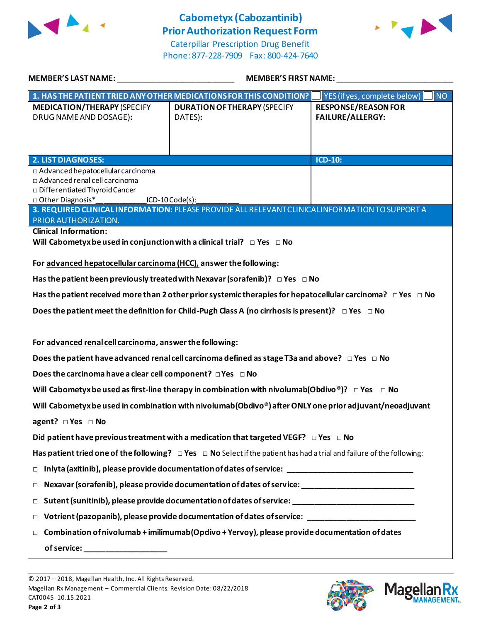

## **Cabometyx (Cabozantinib) Prior Authorization Request Form**

Caterpillar Prescription Drug Benefit Phone: 877-228-7909 Fax: 800-424-7640



| <b>MEMBER'S LAST NAME:</b>                                                                                                                                                                                                                                                                                               | <b>MEMBER'S FIRST NAME:</b>                                                                                            |                                                       |  |  |
|--------------------------------------------------------------------------------------------------------------------------------------------------------------------------------------------------------------------------------------------------------------------------------------------------------------------------|------------------------------------------------------------------------------------------------------------------------|-------------------------------------------------------|--|--|
|                                                                                                                                                                                                                                                                                                                          | 1. HAS THE PATIENT TRIED ANY OTHER MEDICATIONS FOR THIS CONDITION?                                                     | <b>NO</b><br>YES (if yes, complete below)             |  |  |
| <b>MEDICATION/THERAPY (SPECIFY</b><br>DRUG NAME AND DOSAGE):                                                                                                                                                                                                                                                             | <b>DURATION OF THERAPY (SPECIFY</b><br>DATES):                                                                         | <b>RESPONSE/REASON FOR</b><br><b>FAILURE/ALLERGY:</b> |  |  |
|                                                                                                                                                                                                                                                                                                                          |                                                                                                                        |                                                       |  |  |
| <b>2. LIST DIAGNOSES:</b><br>ICD-10:<br>$\Box$ Advanced hepatocellular carcinoma<br>□ Advanced renal cell carcinoma<br>Differentiated Thyroid Cancer<br>D Other Diagnosis*<br>ICD-10 Code(s):<br>3. REQUIRED CLINICAL INFORMATION: PLEASE PROVIDE ALL RELEVANT CLINICAL INFORMATION TO SUPPORT A<br>PRIOR AUTHORIZATION. |                                                                                                                        |                                                       |  |  |
| <b>Clinical Information:</b>                                                                                                                                                                                                                                                                                             |                                                                                                                        |                                                       |  |  |
| Will Cabometyx be used in conjunction with a clinical trial? $\Box$ Yes $\Box$ No                                                                                                                                                                                                                                        |                                                                                                                        |                                                       |  |  |
| For advanced hepatocellular carcinoma (HCC), answer the following:                                                                                                                                                                                                                                                       |                                                                                                                        |                                                       |  |  |
|                                                                                                                                                                                                                                                                                                                          | Has the patient been previously treated with Nexavar (sorafenib)? $\Box$ Yes $\Box$ No                                 |                                                       |  |  |
|                                                                                                                                                                                                                                                                                                                          | Has the patient received more than 2 other prior systemic therapies for hepatocellular carcinoma? $\Box$ Yes $\Box$ No |                                                       |  |  |
|                                                                                                                                                                                                                                                                                                                          | Does the patient meet the definition for Child-Pugh Class A (no cirrhosis is present)? $\Box$ Yes $\Box$ No            |                                                       |  |  |
| For advanced renal cell carcinoma, answer the following:<br>Does the patient have advanced renal cell carcinoma defined as stage T3a and above? $\Box$ Yes $\Box$ No<br>Does the carcinoma have a clear cell component? $\Box$ Yes $\Box$ No                                                                             |                                                                                                                        |                                                       |  |  |
| Will Cabometyx be used as first-line therapy in combination with nivolumab(Obdivo®)? $\Box$ Yes $\Box$ No                                                                                                                                                                                                                |                                                                                                                        |                                                       |  |  |
| Will Cabometyx be used in combination with nivolumab(Obdivo®) after ONLY one prior adjuvant/neoadjuvant                                                                                                                                                                                                                  |                                                                                                                        |                                                       |  |  |
| agent? $\Box$ Yes $\Box$ No                                                                                                                                                                                                                                                                                              |                                                                                                                        |                                                       |  |  |
| Did patient have previous treatment with a medication that targeted VEGF? $\Box$ Yes $\Box$ No                                                                                                                                                                                                                           |                                                                                                                        |                                                       |  |  |
| Has patient tried one of the following? $\Box$ Yes $\Box$ No Select if the patient has had a trial and failure of the following:                                                                                                                                                                                         |                                                                                                                        |                                                       |  |  |
| Inlyta (axitinib), please provide documentation of dates of service: ______________________________<br>$\Box$                                                                                                                                                                                                            |                                                                                                                        |                                                       |  |  |
| Nexavar (sorafenib), please provide documentation of dates of service: ___________________________<br>$\Box$                                                                                                                                                                                                             |                                                                                                                        |                                                       |  |  |
| Sutent (sunitinib), please provide documentation of dates of service: _____________________________<br>□                                                                                                                                                                                                                 |                                                                                                                        |                                                       |  |  |
| Votrient (pazopanib), please provide documentation of dates of service: National Section of the Section of Au<br>□                                                                                                                                                                                                       |                                                                                                                        |                                                       |  |  |
| Combination of nivolumab + imilimumab(Opdivo + Yervoy), please provide documentation of dates<br>$\Box$                                                                                                                                                                                                                  |                                                                                                                        |                                                       |  |  |
| of service: ____________________                                                                                                                                                                                                                                                                                         |                                                                                                                        |                                                       |  |  |



Magellan Rx

**MANAGEMENT**<sub>SM</sub>